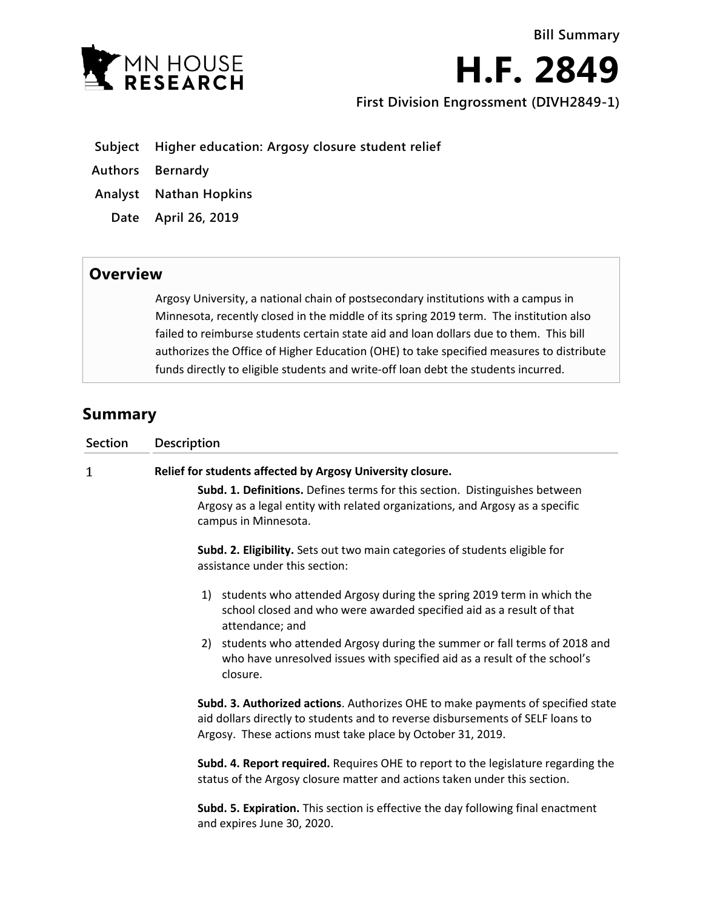

**H.F. 2849**

**First Division Engrossment (DIVH2849-1)**

- **Subject Higher education: Argosy closure student relief**
- **Authors Bernardy**
- **Analyst Nathan Hopkins**
- **Date April 26, 2019**

## **Overview**

Argosy University, a national chain of postsecondary institutions with a campus in Minnesota, recently closed in the middle of its spring 2019 term. The institution also failed to reimburse students certain state aid and loan dollars due to them. This bill authorizes the Office of Higher Education (OHE) to take specified measures to distribute funds directly to eligible students and write-off loan debt the students incurred.

## **Summary**

| <b>Section</b> | Description                                                                                                                                                                                                                     |
|----------------|---------------------------------------------------------------------------------------------------------------------------------------------------------------------------------------------------------------------------------|
| 1              | Relief for students affected by Argosy University closure.                                                                                                                                                                      |
|                | Subd. 1. Definitions. Defines terms for this section. Distinguishes between<br>Argosy as a legal entity with related organizations, and Argosy as a specific<br>campus in Minnesota.                                            |
|                | Subd. 2. Eligibility. Sets out two main categories of students eligible for<br>assistance under this section:                                                                                                                   |
|                | 1) students who attended Argosy during the spring 2019 term in which the<br>school closed and who were awarded specified aid as a result of that<br>attendance; and                                                             |
|                | 2) students who attended Argosy during the summer or fall terms of 2018 and<br>who have unresolved issues with specified aid as a result of the school's<br>closure.                                                            |
|                | Subd. 3. Authorized actions. Authorizes OHE to make payments of specified state<br>aid dollars directly to students and to reverse disbursements of SELF loans to<br>Argosy. These actions must take place by October 31, 2019. |
|                | Subd. 4. Report required. Requires OHE to report to the legislature regarding the<br>status of the Argosy closure matter and actions taken under this section.                                                                  |
|                | Subd. 5. Expiration. This section is effective the day following final enactment<br>and expires June 30, 2020.                                                                                                                  |